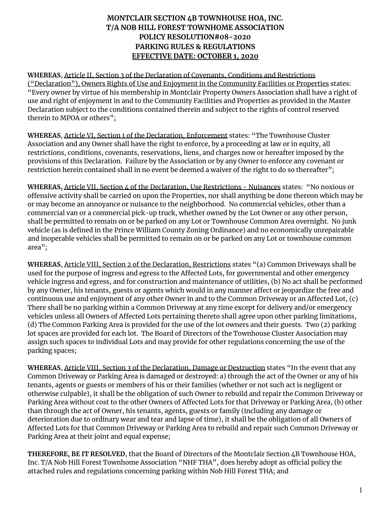## **MONTCLAIR SECTION 4B TOWNHOUSE HOA, INC. T/A NOB HILL FOREST TOWNHOME ASSOCIATION POLICY RESOLUTION#08-2020 PARKING RULES & REGULATIONS EFFECTIVE DATE: OCTOBER 1, 2020**

**WHEREAS**, Article II, Section 3 of the Declaration of Covenants, Conditions and Restrictions ("Declaration"), Owners Rights of Use and Enjoyment in the Community Facilities or Properties states: "Every owner by virtue of his membership in Montclair Property Owners Association shall have a right of use and right of enjoyment in and to the Community Facilities and Properties as provided in the Master Declaration subject to the conditions contained therein and subject to the rights of control reserved therein to MPOA or others";

**WHEREAS**, Article VI, Section 1 of the Declaration, Enforcement states: "The Townhouse Cluster Association and any Owner shall have the right to enforce, by a proceeding at law or in equity, all restrictions, conditions, covenants, reservations, liens, and charges now or hereafter imposed by the provisions of this Declaration. Failure by the Association or by any Owner to enforce any covenant or restriction herein contained shall in no event be deemed a waiver of the right to do so thereafter";

WHEREAS, Article VII, Section 4 of the Declaration, Use Restrictions - Nuisances states: "No noxious or offensive activity shall be carried on upon the Properties, nor shall anything be done thereon which may be or may become an annoyance or nuisance to the neighborhood. No commercial vehicles, other than a commercial van or a commercial pick-up truck, whether owned by the Lot Owner or any other person, shall be permitted to remain on or be parked on any Lot or Townhouse Common Area overnight. No junk vehicle (as is defined in the Prince William County Zoning Ordinance) and no economically unrepairable and inoperable vehicles shall be permitted to remain on or be parked on any Lot or townhouse common area";

**WHEREAS**, Article VIII, Section 2 of the Declaration, Restrictions states "(a) Common Driveways shall be used for the purpose of ingress and egress to the Affected Lots, for governmental and other emergency vehicle ingress and egress, and for construction and maintenance of utilities, (b) No act shall be performed by any Owner, his tenants, guests or agents which would in any manner affect or jeopardize the free and continuous use and enjoyment of any other Owner in and to the Common Driveway or an Affected Lot, (c) There shall be no parking within a Common Driveway at any time except for delivery and/or emergency vehicles unless all Owners of Affected Lots pertaining thereto shall agree upon other parking limitations, (d) The Common Parking Area is provided for the use of the lot owners and their guests. Two (2) parking lot spaces are provided for each lot. The Board of Directors of the Townhouse Cluster Association may assign such spaces to individual Lots and may provide for other regulations concerning the use of the parking spaces;

**WHEREAS**, Article VIII, Section 3 of the Declaration, Damage or Destruction states "In the event that any Common Driveway or Parking Area is damaged or destroyed: a) through the act of the Owner or any of his tenants, agents or guests or members of his or their families (whether or not such act is negligent or otherwise culpable), it shall be the obligation of such Owner to rebuild and repair the Common Driveway or Parking Area without cost to the other Owners of Affected Lots for that Driveway or Parking Area, (b) other than through the act of Owner, his tenants, agents, guests or family (including any damage or deterioration due to ordinary wear and tear and lapse of time), it shall be the obligation of all Owners of Affected Lots for that Common Driveway or Parking Area to rebuild and repair such Common Driveway or Parking Area at their joint and equal expense;

**THEREFORE, BE IT RESOLVED**, that the Board of Directors of the Montclair Section 4B Townhouse HOA, Inc. T/A Nob Hill Forest Townhome Association "NHF THA", does hereby adopt as official policy the attached rules and regulations concerning parking within Nob Hill Forest THA; and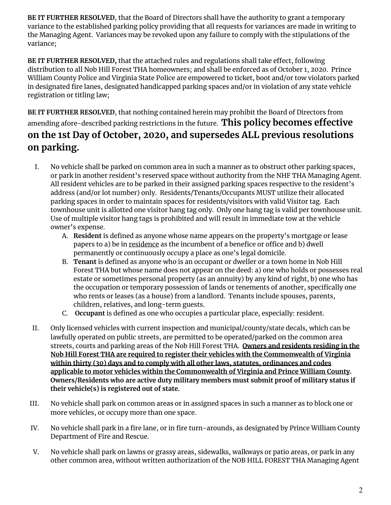**BE IT FURTHER RESOLVED**, that the Board of Directors shall have the authority to grant a temporary variance to the established parking policy providing that all requests for variances are made in writing to the Managing Agent. Variances may be revoked upon any failure to comply with the stipulations of the variance;

**BE** IT FURTHER RESOLVED, that the attached rules and regulations shall take effect, following distribution to all Nob Hill Forest THA homeowners; and shall be enforced as of October 1, 2020. Prince William County Police and Virginia State Police are empowered to ticket, boot and/or tow violators parked in designated fire lanes, designated handicapped parking spaces and/or in violation of any state vehicle registration or titling law;

**BE IT FURTHER RESOLVED**, that nothing contained herein may prohibit the Board of Directors from amending afore-described parking restrictions in the future. **This policy becomes effective on the 1st Day of October, 2020, and supersedes ALL previous resolutions on parking.**

- I. No vehicle shall be parked on common area in such a manner as to obstruct other parking spaces, or park in another resident's reserved space without authority from the NHF THA Managing Agent. All resident vehicles are to be parked in their assigned parking spaces respective to the resident's address (and/or lot number) only. Residents/Tenants/Occupants MUST utilize their allocated parking spaces in order to maintain spaces for residents/visitors with valid Visitor tag. Each townhouse unit is allotted one visitor hang tag only. Only one hang tag is valid per townhouse unit. Use of multiple visitor hang tags is prohibited and will result in immediate tow at the vehicle owner's expense.
	- A. **Resident** is defined as anyone whose name appears on the property's mortgage or lease papers to a) be in residence as the incumbent of a benefice or office and b) dwell permanently or continuously occupy a place as one's legal domicile.
	- B. **Tenant** is defined as anyone who is an occupant or dweller or a town home in Nob Hill Forest THA but whose name does not appear on the deed: a) one who holds or possesses real estate or sometimes personal property (as an annuity) by any kind of right, b) one who has the occupation or temporary possession of lands or tenements of another, specifically one who rents or leases (as a house) from a landlord. Tenants include spouses, parents, children, relatives, and long-term guests.
	- C. **Occupant** is defined as one who occupies a particular place, especially: resident.
- II. Only licensed vehicles with current inspection and municipal/county/state decals, which can be lawfully operated on public streets, are permitted to be operated/parked on the common area streets, courts and parking areas of the Nob Hill Forest THA. **Owners and residents residing in the Nob Hill Forest THA are required to register their vehicles with the Commonwealth of Virginia within thirty (30) days and to comply with all other laws, statutes, ordinances and codes applicable to motor vehicles within the Commonwealth of Virginia and Prince William County. Owners/Residents who are active duty military members must submit proof of military status if their vehicle(s) is registered out of state.**
- III. No vehicle shall park on common areas or in assigned spaces in such a manner as to block one or more vehicles, or occupy more than one space.
- IV. No vehicle shall park in a fire lane, or in fire turn-arounds, as designated by Prince William County Department of Fire and Rescue.
- V. No vehicle shall park on lawns or grassy areas, sidewalks, walkways or patio areas, or park in any other common area, without written authorization of the NOB HILL FOREST THA Managing Agent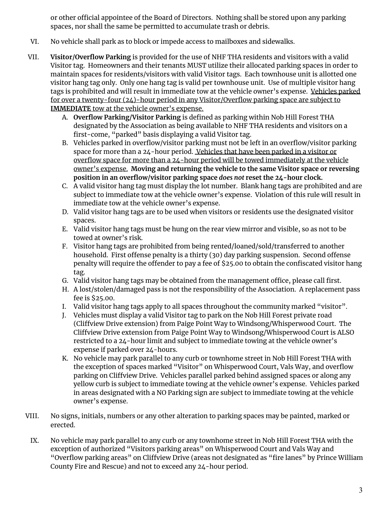or other official appointee of the Board of Directors. Nothing shall be stored upon any parking spaces, nor shall the same be permitted to accumulate trash or debris.

- VI. No vehicle shall park as to block or impede access to mailboxes and sidewalks.
- VII. **Visitor/Overflow Parking** is provided for the use of NHF THA residents and visitors with a valid Visitor tag. Homeowners and their tenants MUST utilize their allocated parking spaces in order to maintain spaces for residents/visitors with valid Visitor tags. Each townhouse unit is allotted one visitor hang tag only. Only one hang tag is valid per townhouse unit. Use of multiple visitor hang tags is prohibited and will result in immediate tow at the vehicle owner's expense. Vehicles parked for over a twenty-four (24)-hour period in any Visitor/Overflow parking space are subject to **IMMEDIATE** tow at the vehicle owner's expense.
	- A. **Overflow Parking/Visitor Parking** is defined as parking within Nob Hill Forest THA designated by the Association as being available to NHF THA residents and visitors on a first-come, "parked" basis displaying a valid Visitor tag.
	- B. Vehicles parked in overflow/visitor parking must not be left in an overflow/visitor parking space for more than a 24-hour period. Vehicles that have been parked in a visitor or overflow space for more than a 24-hour period will be towed immediately at the vehicle owner's expense. **Moving and returning the vehicle to the same Visitor space or reversing position in an overflow/visitor parking space** *does not* **reset the 24-hour clock.**
	- C. A valid visitor hang tag must display the lot number. Blank hang tags are prohibited and are subject to immediate tow at the vehicle owner's expense. Violation of this rule will result in immediate tow at the vehicle owner's expense.
	- D. Valid visitor hang tags are to be used when visitors or residents use the designated visitor spaces.
	- E. Valid visitor hang tags must be hung on the rear view mirror and visible, so as not to be towed at owner's risk.
	- F. Visitor hang tags are prohibited from being rented/loaned/sold/transferred to another household. First offense penalty is a thirty (30) day parking suspension. Second offense penalty will require the offender to pay a fee of \$25.00 to obtain the confiscated visitor hang tag.
	- G. Valid visitor hang tags may be obtained from the management office, please call first.
	- H. A lost/stolen/damaged pass is not the responsibility of the Association. A replacement pass fee is \$25.00.
	- I. Valid visitor hang tags apply to all spaces throughout the community marked "visitor".
	- J. Vehicles must display a valid Visitor tag to park on the Nob Hill Forest private road (Cliffview Drive extension) from Paige Point Way to Windsong/Whisperwood Court. The Cliffview Drive extension from Paige Point Way to Windsong/Whisperwood Court is ALSO restricted to a 24-hour limit and subject to immediate towing at the vehicle owner's expense if parked over 24-hours.
	- K. No vehicle may park parallel to any curb or townhome street in Nob Hill Forest THA with the exception of spaces marked "Visitor" on Whisperwood Court, Vals Way, and overflow parking on Cliffview Drive. Vehicles parallel parked behind assigned spaces or along any yellow curb is subject to immediate towing at the vehicle owner's expense. Vehicles parked in areas designated with a NO Parking sign are subject to immediate towing at the vehicle owner's expense.
- VIII. No signs, initials, numbers or any other alteration to parking spaces may be painted, marked or erected.
- IX. No vehicle may park parallel to any curb or any townhome street in Nob Hill Forest THA with the exception of authorized "Visitors parking areas" on Whisperwood Court and Vals Way and "Overflow parking areas" on Cliffview Drive (areas not designated as "fire lanes" by Prince William County Fire and Rescue) and not to exceed any 24-hour period.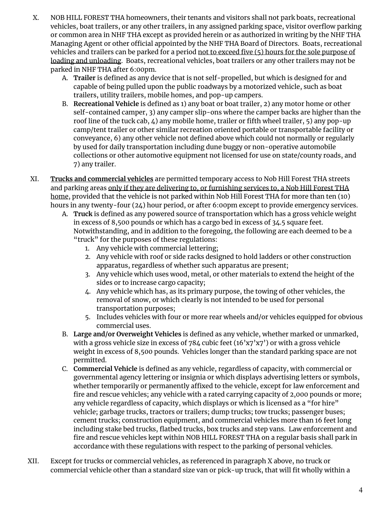- X. NOB HILL FOREST THA homeowners, their tenants and visitors shall not park boats, recreational vehicles, boat trailers, or any other trailers, in any assigned parking space, visitor overflow parking or common area in NHF THA except as provided herein or as authorized in writing by the NHF THA Managing Agent or other official appointed by the NHF THA Board of Directors. Boats, recreational vehicles and trailers can be parked for a period not to exceed five (5) hours for the sole purpose of loading and unloading. Boats, recreational vehicles, boat trailers or any other trailers may not be parked in NHF THA after 6:00pm.
	- A. **Trailer** is defined as any device that is not self-propelled, but which is designed for and capable of being pulled upon the public roadways by a motorized vehicle, such as boat trailers, utility trailers, mobile homes, and pop-up campers.
	- B. **Recreational Vehicle** is defined as 1) any boat or boat trailer, 2) any motor home or other self-contained camper, 3) any camper slip-ons where the camper backs are higher than the roof line of the tuck cab,  $\mu$ ) any mobile home, trailer or fifth wheel trailer, 5) any pop-up camp/tent trailer or other similar recreation oriented portable or transportable facility or conveyance, 6) any other vehicle not defined above which could not normally or regularly by used for daily transportation including dune buggy or non-operative automobile collections or other automotive equipment not licensed for use on state/county roads, and 7) any trailer.
- XI. **Trucks and commercial vehicles** are permitted temporary access to Nob Hill Forest THA streets and parking areas only if they are delivering to, or furnishing services to, a Nob Hill Forest THA home, provided that the vehicle is not parked within Nob Hill Forest THA for more than ten (10) hours in any twenty-four (24) hour period, or after 6:00pm except to provide emergency services.
	- A. **Truck** is defined as any powered source of transportation which has a gross vehicle weight in excess of 8,500 pounds or which has a cargo bed in excess of 34.5 square feet. Notwithstanding, and in addition to the foregoing, the following are each deemed to be a "truck" for the purposes of these regulations:
		- 1. Any vehicle with commercial lettering;
		- 2. Any vehicle with roof or side racks designed to hold ladders or other construction apparatus, regardless of whether such apparatus are present;
		- 3. Any vehicle which uses wood, metal, or other materials to extend the height of the sides or to increase cargo capacity;
		- 4. Any vehicle which has, as its primary purpose, the towing of other vehicles, the removal of snow, or which clearly is not intended to be used for personal transportation purposes;
		- 5. Includes vehicles with four or more rear wheels and/or vehicles equipped for obvious commercial uses.
	- B. **Large and/or Overweight Vehicles** is defined as any vehicle, whether marked or unmarked, with a gross vehicle size in excess of 784 cubic feet  $(16'x7'x7')$  or with a gross vehicle weight in excess of 8,500 pounds. Vehicles longer than the standard parking space are not permitted.
	- C. **Commercial Vehicle** is defined as any vehicle, regardless of capacity, with commercial or governmental agency lettering or insignia or which displays advertising letters or symbols, whether temporarily or permanently affixed to the vehicle, except for law enforcement and fire and rescue vehicles; any vehicle with a rated carrying capacity of 2,000 pounds or more; any vehicle regardless of capacity, which displays or which is licensed as a "for hire" vehicle; garbage trucks, tractors or trailers; dump trucks; tow trucks; passenger buses; cement trucks; construction equipment, and commercial vehicles more than 16 feet long including stake bed trucks, flatbed trucks, box trucks and step vans. Law enforcement and fire and rescue vehicles kept within NOB HILL FOREST THA on a regular basis shall park in accordance with these regulations with respect to the parking of personal vehicles.
- XII. Except for trucks or commercial vehicles, as referenced in paragraph X above, no truck or commercial vehicle other than a standard size van or pick-up truck, that will fit wholly within a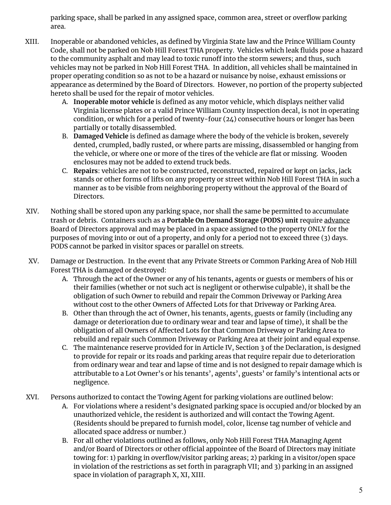parking space, shall be parked in any assigned space, common area, street or overflow parking area.

- XIII. Inoperable or abandoned vehicles, as defined by Virginia State law and the Prince William County Code, shall not be parked on Nob Hill Forest THA property. Vehicles which leak fluids pose a hazard to the community asphalt and may lead to toxic runoff into the storm sewers; and thus, such vehicles may not be parked in Nob Hill Forest THA. In addition, all vehicles shall be maintained in proper operating condition so as not to be a hazard or nuisance by noise, exhaust emissions or appearance as determined by the Board of Directors. However, no portion of the property subjected hereto shall be used for the repair of motor vehicles.
	- A. **Inoperable motor vehicle** is defined as any motor vehicle, which displays neither valid Virginia license plates or a valid Prince William County inspection decal, is not in operating condition, or which for a period of twenty-four (24) consecutive hours or longer has been partially or totally disassembled.
	- B. **Damaged Vehicle** is defined as damage where the body of the vehicle is broken, severely dented, crumpled, badly rusted, or where parts are missing, disassembled or hanging from the vehicle, or where one or more of the tires of the vehicle are flat or missing. Wooden enclosures may not be added to extend truck beds.
	- C. **Repairs**: vehicles are not to be constructed, reconstructed, repaired or kept on jacks, jack stands or other forms of lifts on any property or street within Nob Hill Forest THA in such a manner as to be visible from neighboring property without the approval of the Board of Directors.
- XIV. Nothing shall be stored upon any parking space, nor shall the same be permitted to accumulate trash or debris. Containers such as a **Portable On Demand Storage (PODS) unit** require advance Board of Directors approval and may be placed in a space assigned to the property ONLY for the purposes of moving into or out of a property, and only for a period not to exceed three (3) days. PODS cannot be parked in visitor spaces or parallel on streets.
- XV. Damage or Destruction. In the event that any Private Streets or Common Parking Area of Nob Hill Forest THA is damaged or destroyed:
	- A. Through the act of the Owner or any of his tenants, agents or guests or members of his or their families (whether or not such act is negligent or otherwise culpable), it shall be the obligation of such Owner to rebuild and repair the Common Driveway or Parking Area without cost to the other Owners of Affected Lots for that Driveway or Parking Area.
	- B. Other than through the act of Owner, his tenants, agents, guests or family (including any damage or deterioration due to ordinary wear and tear and lapse of time), it shall be the obligation of all Owners of Affected Lots for that Common Driveway or Parking Area to rebuild and repair such Common Driveway or Parking Area at their joint and equal expense.
	- C. The maintenance reserve provided for in Article IV, Section 3 of the Declaration, is designed to provide for repair or its roads and parking areas that require repair due to deterioration from ordinary wear and tear and lapse of time and is not designed to repair damage which is attributable to a Lot Owner's or his tenants', agents', guests' or family's intentional acts or negligence.
- XVI. Persons authorized to contact the Towing Agent for parking violations are outlined below:
	- A. For violations where a resident's designated parking space is occupied and/or blocked by an unauthorized vehicle, the resident is authorized and will contact the Towing Agent. (Residents should be prepared to furnish model, color, license tag number of vehicle and allocated space address or number.)
	- B. For all other violations outlined as follows, only Nob Hill Forest THA Managing Agent and/or Board of Directors or other official appointee of the Board of Directors may initiate towing for: 1) parking in overflow/visitor parking areas; 2) parking in a visitor/open space in violation of the restrictions as set forth in paragraph VII; and 3) parking in an assigned space in violation of paragraph X, XI, XIII.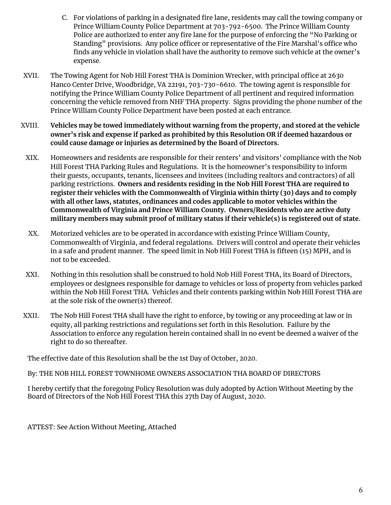- C. For violations of parking in a designated fire lane, residents may call the towing company or Prince William County Police Department at 703-792-6500. The Prince William County Police are authorized to enter any fire lane for the purpose of enforcing the "No Parking or Standing" provisions. Any police officer or representative of the Fire Marshal's office who finds any vehicle in violation shall have the authority to remove such vehicle at the owner's expense.
- XVII. The Towing Agent for Nob Hill Forest THA is Dominion Wrecker, with principal office at 2630 Hanco Center Drive, Woodbridge, VA 22191, 703-730-6610. The towing agent is responsible for notifying the Prince William County Police Department of all pertinent and required information concerning the vehicle removed from NHF THA property. Signs providing the phone number of the Prince William County Police Department have been posted at each entrance.
- XVIII. **Vehicles may be towed immediately without warning from the property, and stored at the vehicle owner's risk and expense if parked as prohibited by this Resolution OR if deemed hazardous or could cause damage or injuries as determined by the Board of Directors.**
	- XIX. Homeowners and residents are responsible for their renters' and visitors' compliance with the Nob Hill Forest THA Parking Rules and Regulations. It is the homeowner's responsibility to inform their guests, occupants, tenants, licensees and invitees (including realtors and contractors) of all parking restrictions. **Owners and residents residing in the Nob Hill Forest THA are required to register their vehicles with the Commonwealth of Virginia within thirty (30) days and to comply with all other laws, statutes, ordinances and codes applicable to motor vehicles within the Commonwealth of Virginia and Prince William County. Owners/Residents who are active duty military members may submit proof of military status if their vehicle(s) is registered out of state.**
	- XX. Motorized vehicles are to be operated in accordance with existing Prince William County, Commonwealth of Virginia, and federal regulations. Drivers will control and operate their vehicles in a safe and prudent manner. The speed limit in Nob Hill Forest THA is fifteen (15) MPH, and is not to be exceeded.
	- XXI. Nothing in this resolution shall be construed to hold Nob Hill Forest THA, its Board of Directors, employees or designees responsible for damage to vehicles or loss of property from vehicles parked within the Nob Hill Forest THA. Vehicles and their contents parking within Nob Hill Forest THA are at the sole risk of the owner(s) thereof.
- XXII. The Nob Hill Forest THA shall have the right to enforce, by towing or any proceeding at law or in equity, all parking restrictions and regulations set forth in this Resolution. Failure by the Association to enforce any regulation herein contained shall in no event be deemed a waiver of the right to do so thereafter.

The effective date of this Resolution shall be the 1st Day of October, 2020.

By: THE NOB HILL FOREST TOWNHOME OWNERS ASSOCIATION THA BOARD OF DIRECTORS

I hereby certify that the foregoing Policy Resolution was duly adopted by Action Without Meeting by the Board of Directors of the Nob Hill Forest THA this 27th Day 0f August, 2020.

ATTEST: See Action Without Meeting, Attached